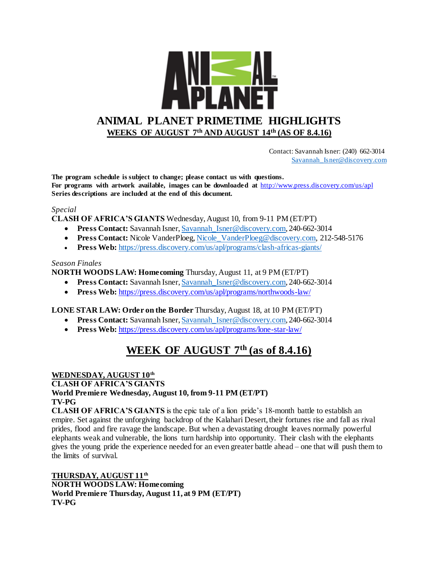

 Contact: Savannah Isner: (240) 662-3014 [Savannah\\_Isner@discovery.com](mailto:Savannah_Isner@discovery.com)

**The program schedule is subject to change; please contact us with questions. For programs with artwork available, images can be downloaded at** http://www.press.discovery.com/us/apl **Series descriptions are included at the end of this document.** 

### *Special*

**CLASH OF AFRICA'S GIANTS** Wednesday, August 10, from 9-11 PM (ET/PT)

- **Press Contact:** Savannah Isner, Savannah Isner@discovery.com, 240-662-3014
- **Press Contact:** Nicole VanderPloeg, Nicole VanderPloeg@discovery.com, 212-548-5176
- **Press Web:** <https://press.discovery.com/us/apl/programs/clash-africas-giants/>

#### *Season Finales*

### **NORTH WOODS LAW: Homecoming** Thursday, August 11, at 9 PM (ET/PT)

- **Press Contact:** Savannah Isner, Savannah Isner@discovery.com, 240-662-3014
- **Press Web:** <https://press.discovery.com/us/apl/programs/northwoods-law/>

### **LONE STAR LAW: Order on the Border** Thursday, August 18, at 10 PM (ET/PT)

- **Press Contact:** Savannah Isner[, Savannah\\_Isner@discovery.com,](mailto:Savannah_Isner@discovery.com) 240-662-3014
- **Press Web:** <https://press.discovery.com/us/apl/programs/lone-star-law/>

## **WEEK OF AUGUST 7th (as of 8.4.16)**

#### **WEDNESDAY, AUGUST 10th**

### **CLASH OF AFRICA'S GIANTS**

#### **World Premiere Wednesday, August 10, from 9-11 PM (ET/PT) TV-PG**

**CLASH OF AFRICA'S GIANTS** is the epic tale of a lion pride's 18-month battle to establish an empire. Set against the unforgiving backdrop of the Kalahari Desert, their fortunes rise and fall as rival prides, flood and fire ravage the landscape. But when a devastating drought leaves normally powerful elephants weak and vulnerable, the lions turn hardship into opportunity. Their clash with the elephants gives the young pride the experience needed for an even greater battle ahead – one that will push them to the limits of survival.

**THURSDAY, AUGUST 11th NORTH WOODS LAW: Homecoming World Premiere Thursday, August 11, at 9 PM (ET/PT) TV-PG**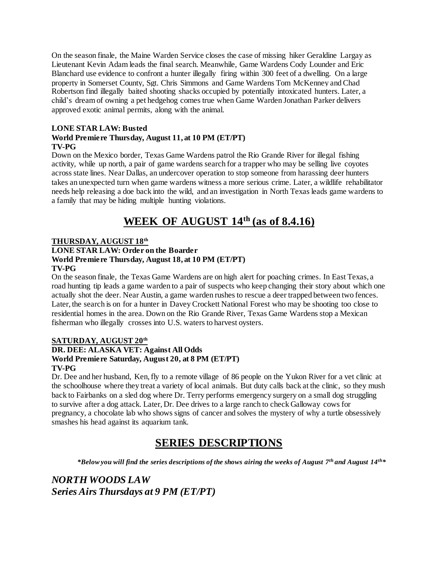On the season finale, the Maine Warden Service closes the case of missing hiker Geraldine Largay as Lieutenant Kevin Adam leads the final search. Meanwhile, Game Wardens Cody Lounder and Eric Blanchard use evidence to confront a hunter illegally firing within 300 feet of a dwelling. On a large property in Somerset County, Sgt. Chris Simmons and Game Wardens Tom McKenney and Chad Robertson find illegally baited shooting shacks occupied by potentially intoxicated hunters. Later, a child's dream of owning a pet hedgehog comes true when Game Warden Jonathan Parker delivers approved exotic animal permits, along with the animal.

### **LONE STAR LAW: Busted World Premiere Thursday, August 11, at 10 PM (ET/PT) TV-PG**

Down on the Mexico border, Texas Game Wardens patrol the Rio Grande River for illegal fishing activity, while up north, a pair of game wardens search for a trapper who may be selling live coyotes across state lines. Near Dallas, an undercover operation to stop someone from harassing deer hunters takes an unexpected turn when game wardens witness a more serious crime. Later, a wildlife rehabilitator needs help releasing a doe back into the wild, and an investigation in North Texas leads game wardens to a family that may be hiding multiple hunting violations.

# **WEEK OF AUGUST 14th (as of 8.4.16)**

## **THURSDAY, AUGUST 18th**

### **LONE STAR LAW: Order on the Boarder World Premiere Thursday, August 18, at 10 PM (ET/PT) TV-PG**

On the season finale, the Texas Game Wardens are on high alert for poaching crimes. In East Texas, a road hunting tip leads a game warden to a pair of suspects who keep changing their story about which one actually shot the deer. Near Austin, a game warden rushes to rescue a deer trapped between two fences. Later, the search is on for a hunter in Davey Crockett National Forest who may be shooting too close to residential homes in the area. Down on the Rio Grande River, Texas Game Wardens stop a Mexican fisherman who illegally crosses into U.S. waters to harvest oysters.

## **SATURDAY, AUGUST 20th**

## **DR. DEE: ALASKA VET: Against All Odds World Premiere Saturday, August 20, at 8 PM (ET/PT) TV-PG**

Dr. Dee and her husband, Ken,fly to a remote village of 86 people on the Yukon River for a vet clinic at the schoolhouse where they treat a variety of local animals. But duty calls back at the clinic, so they mush back to Fairbanks on a sled dog where Dr. Terry performs emergency surgery on a small dog struggling to survive after a dog attack. Later, Dr. Dee drives to a large ranch to check Galloway cows for pregnancy, a chocolate lab who shows signs of cancer and solves the mystery of why a turtle obsessively smashes his head against its aquarium tank.

## **SERIES DESCRIPTIONS**

*\*Below you will find the series descriptions of the shows airing the weeks of August 7 th and August 14th\**

## *NORTH WOODS LAW Series Airs Thursdays at 9 PM (ET/PT)*